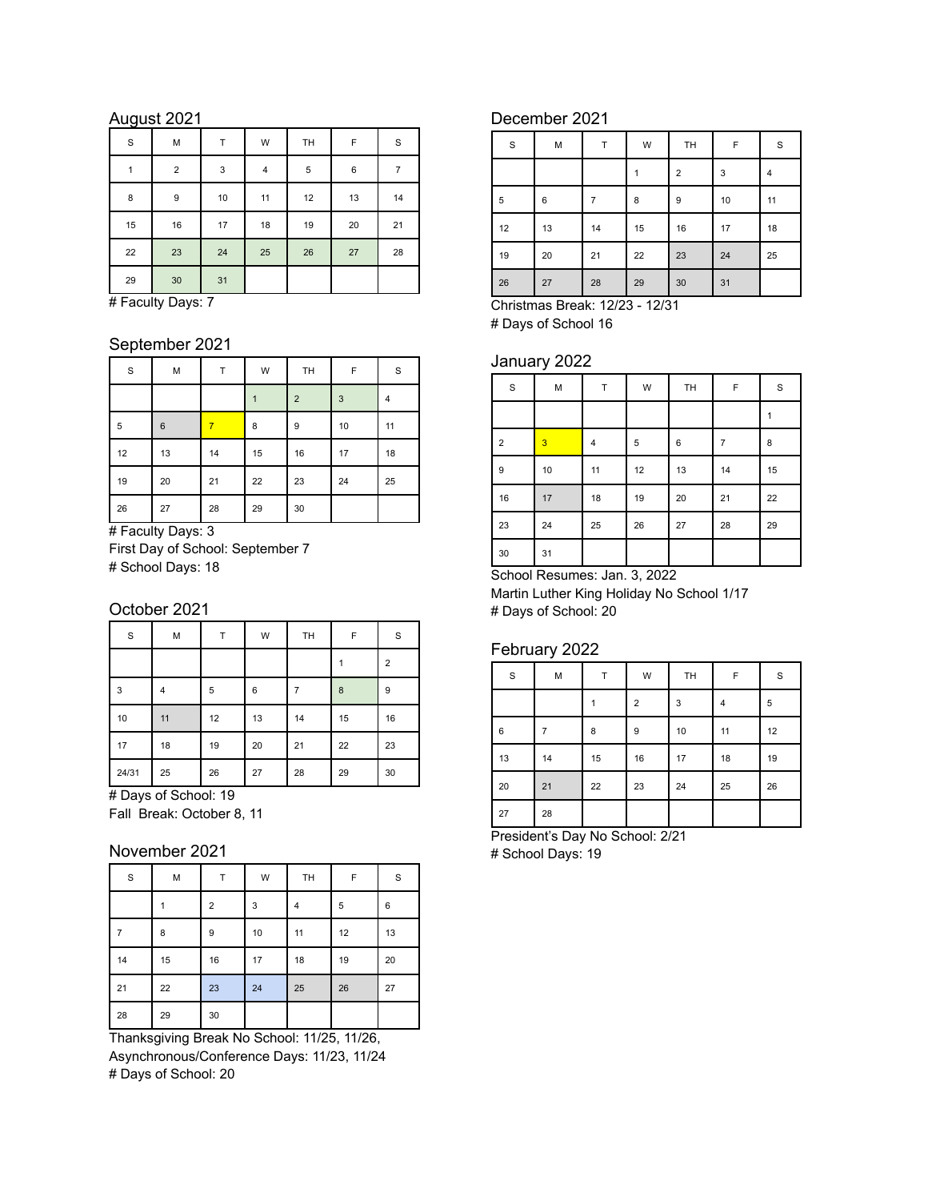# August 2021

| $\mathbf S$ | M                | Т           | W  | TH         | F  | S  |
|-------------|------------------|-------------|----|------------|----|----|
| 1           | $\overline{2}$   | $\mathsf 3$ | 4  | $\sqrt{5}$ | 6  | 7  |
| 8           | $\boldsymbol{9}$ | 10          | 11 | 12         | 13 | 14 |
| 15          | 16               | 17          | 18 | 19         | 20 | 21 |
| 22          | 23               | 24          | 25 | 26         | 27 | 28 |
| 29          | 30               | 31          |    |            |    |    |

# Faculty Days: 7

## September 2021

| $\mathbf S$ | М  | т  | W  | TH             | F  | S  |
|-------------|----|----|----|----------------|----|----|
|             |    |    |    | $\overline{2}$ | 3  | 4  |
| 5           | 6  | 7  | 8  | 9              | 10 | 11 |
| 12          | 13 | 14 | 15 | 16             | 17 | 18 |
| 19          | 20 | 21 | 22 | 23             | 24 | 25 |
| 26          | 27 | 28 | 29 | 30             |    |    |

# Faculty Days: 3 First Day of School: September 7 # School Days: 18

### October 2021

| $\mathbf S$ | M  | Т  | W  | TH | F  | S              |
|-------------|----|----|----|----|----|----------------|
|             |    |    |    |    |    | $\overline{2}$ |
| 3           | 4  | 5  | 6  |    | 8  | 9              |
| $10$        | 11 | 12 | 13 | 14 | 15 | 16             |
| 17          | 18 | 19 | 20 | 21 | 22 | 23             |
| 24/31       | 25 | 26 | 27 | 28 | 29 | 30             |

# Days of School: 19 Fall Break: October 8, 11

### November 2021

| $\mathbf S$ | M  | Т              | W  | TH | F  | S  |
|-------------|----|----------------|----|----|----|----|
|             |    | $\overline{2}$ | 3  | 4  | 5  | 6  |
|             | 8  | 9              | 10 | 11 | 12 | 13 |
| 14          | 15 | 16             | 17 | 18 | 19 | 20 |
| 21          | 22 | 23             | 24 | 25 | 26 | 27 |
| 28          | 29 | 30             |    |    |    |    |

Thanksgiving Break No School: 11/25, 11/26, Asynchronous/Conference Days: 11/23, 11/24 # Days of School: 20

# December 2021

| $\mathbf S$ | M  | T  | W  | TH             | F    | $\mathbf S$ |
|-------------|----|----|----|----------------|------|-------------|
|             |    |    |    | $\overline{2}$ | 3    | 4           |
| 5           | 6  | 7  | 8  | 9              | $10$ | 11          |
| 12          | 13 | 14 | 15 | 16             | 17   | 18          |
| 19          | 20 | 21 | 22 | 23             | 24   | 25          |
| 26          | 27 | 28 | 29 | 30             | 31   |             |

Christmas Break: 12/23 - 12/31 # Days of School 16

## January 2022

| $\mathbf S$    | M              | Т  | W  | TH | F              | $\mathbf S$ |
|----------------|----------------|----|----|----|----------------|-------------|
|                |                |    |    |    |                | 1           |
| $\overline{2}$ | $\overline{3}$ | 4  | 5  | 6  | $\overline{7}$ | 8           |
| 9              | $10$           | 11 | 12 | 13 | 14             | 15          |
| 16             | 17             | 18 | 19 | 20 | 21             | 22          |
| 23             | 24             | 25 | 26 | 27 | 28             | 29          |
| 30             | 31             |    |    |    |                |             |

School Resumes: Jan. 3, 2022 Martin Luther King Holiday No School 1/17 # Days of School: 20

### February 2022

| $\mathbf S$ | M  | T  | W              | TH | F  | $\mathbf S$ |
|-------------|----|----|----------------|----|----|-------------|
|             |    |    | $\overline{2}$ | 3  | 4  | 5           |
| 6           |    | 8  | 9              | 10 | 11 | 12          |
| 13          | 14 | 15 | 16             | 17 | 18 | 19          |
| 20          | 21 | 22 | 23             | 24 | 25 | 26          |
| 27          | 28 |    |                |    |    |             |

President's Day No School: 2/21 # School Days: 19